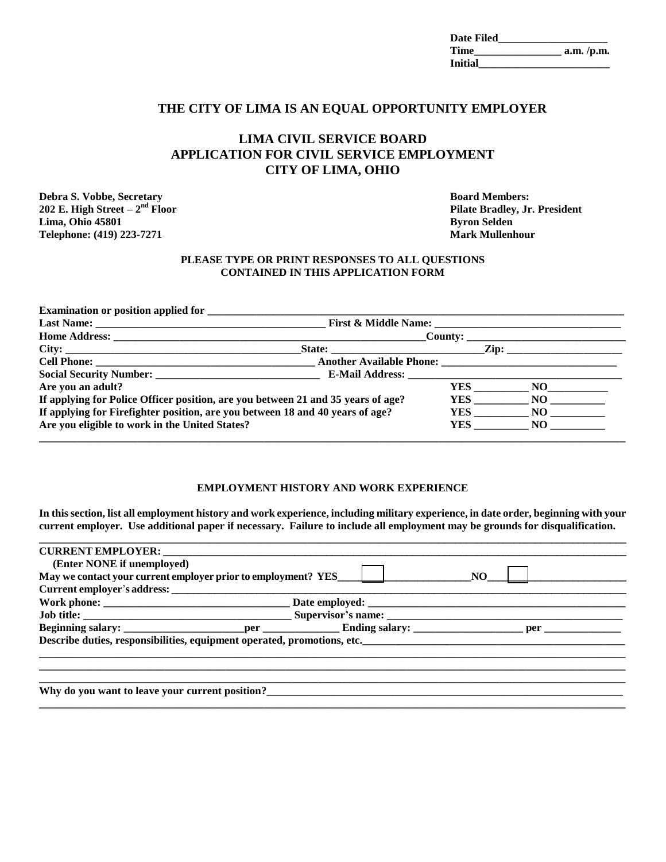| <b>Date Filed</b> |             |
|-------------------|-------------|
| <b>Time</b>       | a.m. / p.m. |
| <b>Initial</b>    |             |

# **THE CITY OF LIMA IS AN EQUAL OPPORTUNITY EMPLOYER**

# **LIMA CIVIL SERVICE BOARD APPLICATION FOR CIVIL SERVICE EMPLOYMENT CITY OF LIMA, OHIO**

**Debra S. Vobbe, Secretary <b>Board Members: Board Members: 202 E. High Street – 2 Lima, Ohio 45801 Byron Selden Telephone: (419) 223-7271 Mark Mullenhour**

**Pilate Bradley, Jr. President** 

### **PLEASE TYPE OR PRINT RESPONSES TO ALL QUESTIONS CONTAINED IN THIS APPLICATION FORM**

|                                                                                  |  |  | <u> Zip: ______________________</u> |  |
|----------------------------------------------------------------------------------|--|--|-------------------------------------|--|
|                                                                                  |  |  |                                     |  |
|                                                                                  |  |  |                                     |  |
| Are you an adult?                                                                |  |  | YES NO                              |  |
| If applying for Police Officer position, are you between 21 and 35 years of age? |  |  | YES NO                              |  |
| If applying for Firefighter position, are you between 18 and 40 years of age?    |  |  | YES NO                              |  |
| Are you eligible to work in the United States?                                   |  |  | YES NO                              |  |

## **EMPLOYMENT HISTORY AND WORK EXPERIENCE**

**In this section, list all employment history and work experience, including military experience, in date order, beginning with your current employer. Use additional paper if necessary. Failure to include all employment may be grounds for disqualification. \_\_\_\_\_\_\_\_\_\_\_\_\_\_\_\_\_\_\_\_\_\_\_\_\_\_\_\_\_\_\_\_\_\_\_\_\_\_\_\_\_\_\_\_\_\_\_\_\_\_\_\_\_\_\_\_\_\_\_\_\_\_\_\_\_\_\_\_\_\_\_\_\_\_\_\_\_\_\_\_\_\_\_\_\_\_\_\_\_\_\_\_\_\_\_\_\_\_\_\_\_\_\_\_\_\_\_\_**

| (Enter NONE if unemployed)                                                        |  |     |  |
|-----------------------------------------------------------------------------------|--|-----|--|
| May we contact your current employer prior to employment? YES____________________ |  | NO. |  |
|                                                                                   |  |     |  |
|                                                                                   |  |     |  |
|                                                                                   |  |     |  |
|                                                                                   |  |     |  |
| Describe duties, responsibilities, equipment operated, promotions, etc.           |  |     |  |
|                                                                                   |  |     |  |
|                                                                                   |  |     |  |
|                                                                                   |  |     |  |
| Why do you want to leave your current position?                                   |  |     |  |

**\_\_\_\_\_\_\_\_\_\_\_\_\_\_\_\_\_\_\_\_\_\_\_\_\_\_\_\_\_\_\_\_\_\_\_\_\_\_\_\_\_\_\_\_\_\_\_\_\_\_\_\_\_\_\_\_\_\_\_\_\_\_\_\_\_\_\_\_\_\_\_\_\_\_\_\_\_\_\_\_\_\_\_\_\_\_\_\_\_\_\_\_\_\_\_\_\_\_\_\_\_\_\_\_\_\_\_**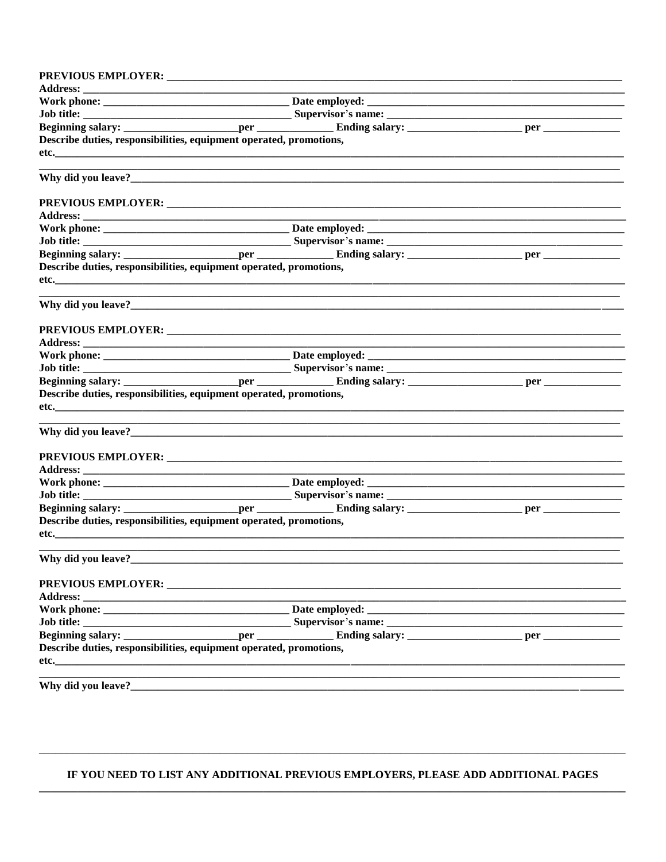| <b>PREVIOUS EMPLOYER:</b>                                                                                                                                                                                                      |  |  |
|--------------------------------------------------------------------------------------------------------------------------------------------------------------------------------------------------------------------------------|--|--|
|                                                                                                                                                                                                                                |  |  |
|                                                                                                                                                                                                                                |  |  |
|                                                                                                                                                                                                                                |  |  |
|                                                                                                                                                                                                                                |  |  |
| Describe duties, responsibilities, equipment operated, promotions,                                                                                                                                                             |  |  |
|                                                                                                                                                                                                                                |  |  |
|                                                                                                                                                                                                                                |  |  |
|                                                                                                                                                                                                                                |  |  |
|                                                                                                                                                                                                                                |  |  |
|                                                                                                                                                                                                                                |  |  |
|                                                                                                                                                                                                                                |  |  |
|                                                                                                                                                                                                                                |  |  |
|                                                                                                                                                                                                                                |  |  |
| Describe duties, responsibilities, equipment operated, promotions,                                                                                                                                                             |  |  |
|                                                                                                                                                                                                                                |  |  |
|                                                                                                                                                                                                                                |  |  |
|                                                                                                                                                                                                                                |  |  |
|                                                                                                                                                                                                                                |  |  |
|                                                                                                                                                                                                                                |  |  |
|                                                                                                                                                                                                                                |  |  |
|                                                                                                                                                                                                                                |  |  |
| Describe duties, responsibilities, equipment operated, promotions,                                                                                                                                                             |  |  |
|                                                                                                                                                                                                                                |  |  |
|                                                                                                                                                                                                                                |  |  |
|                                                                                                                                                                                                                                |  |  |
|                                                                                                                                                                                                                                |  |  |
|                                                                                                                                                                                                                                |  |  |
|                                                                                                                                                                                                                                |  |  |
| Describe duties, responsibilities, equipment operated, promotions,                                                                                                                                                             |  |  |
| etc. The contract of the contract of the contract of the contract of the contract of the contract of the contract of the contract of the contract of the contract of the contract of the contract of the contract of the contr |  |  |
| Why did you leave?                                                                                                                                                                                                             |  |  |
| <b>PREVIOUS EMPLOYER:</b>                                                                                                                                                                                                      |  |  |
|                                                                                                                                                                                                                                |  |  |
|                                                                                                                                                                                                                                |  |  |
| Job title:                                                                                                                                                                                                                     |  |  |
|                                                                                                                                                                                                                                |  |  |
| Describe duties, responsibilities, equipment operated, promotions,                                                                                                                                                             |  |  |
| etc.                                                                                                                                                                                                                           |  |  |
| Why did you leave?                                                                                                                                                                                                             |  |  |

# IF YOU NEED TO LIST ANY ADDITIONAL PREVIOUS EMPLOYERS, PLEASE ADD ADDITIONAL PAGES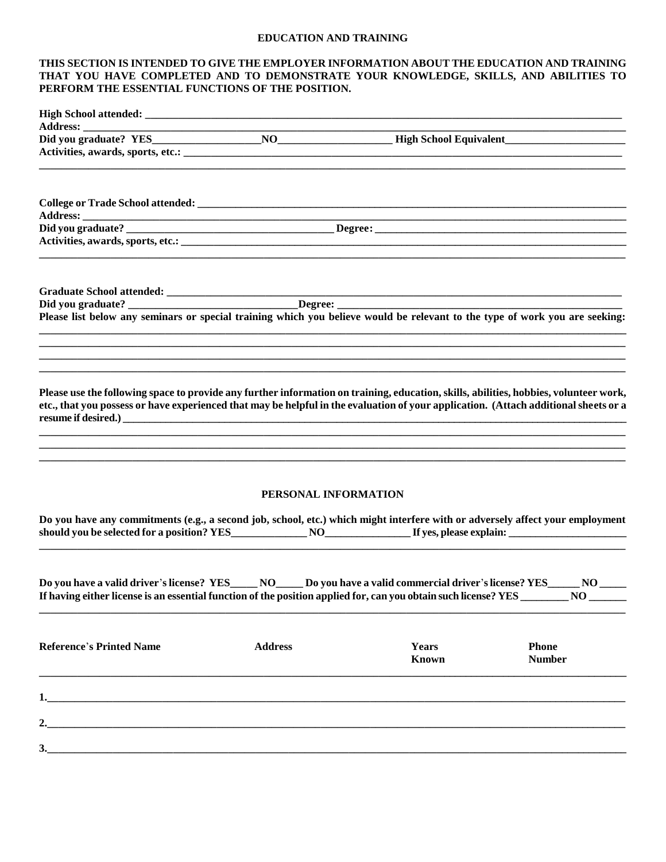#### **EDUCATION AND TRAINING**

### THIS SECTION IS INTENDED TO GIVE THE EMPLOYER INFORMATION ABOUT THE EDUCATION AND TRAINING THAT YOU HAVE COMPLETED AND TO DEMONSTRATE YOUR KNOWLEDGE, SKILLS, AND ABILITIES TO PERFORM THE ESSENTIAL FUNCTIONS OF THE POSITION.

| Please list below any seminars or special training which you believe would be relevant to the type of work you are seeking:                                                                                                                                                   |                      |                |                               |
|-------------------------------------------------------------------------------------------------------------------------------------------------------------------------------------------------------------------------------------------------------------------------------|----------------------|----------------|-------------------------------|
|                                                                                                                                                                                                                                                                               |                      |                |                               |
|                                                                                                                                                                                                                                                                               |                      |                |                               |
| Please use the following space to provide any further information on training, education, skills, abilities, hobbies, volunteer work,<br>etc., that you possess or have experienced that may be helpful in the evaluation of your application. (Attach additional sheets or a |                      |                |                               |
|                                                                                                                                                                                                                                                                               |                      |                |                               |
|                                                                                                                                                                                                                                                                               | PERSONAL INFORMATION |                |                               |
| Do you have any commitments (e.g., a second job, school, etc.) which might interfere with or adversely affect your employment                                                                                                                                                 |                      |                |                               |
| Do you have a valid driver's license? YES______NO______Do you have a valid commercial driver's license? YES______<br>If having either license is an essential function of the position applied for, can you obtain such license? YES __________ NO                            |                      |                | NO                            |
| <b>Reference's Printed Name</b>                                                                                                                                                                                                                                               | <b>Address</b>       | Years<br>Known | <b>Phone</b><br><b>Number</b> |
|                                                                                                                                                                                                                                                                               |                      |                |                               |
|                                                                                                                                                                                                                                                                               |                      |                |                               |
|                                                                                                                                                                                                                                                                               |                      |                |                               |
| 3.                                                                                                                                                                                                                                                                            |                      |                |                               |
|                                                                                                                                                                                                                                                                               |                      |                |                               |